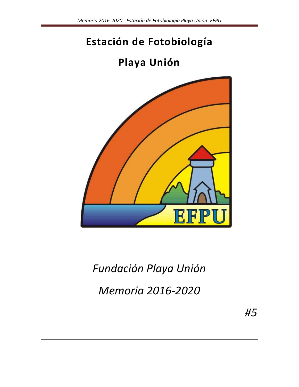# **Estación de Fotobiología**

# **Playa Unión**



# *Fundación Playa Unión Memoria 2016-2020*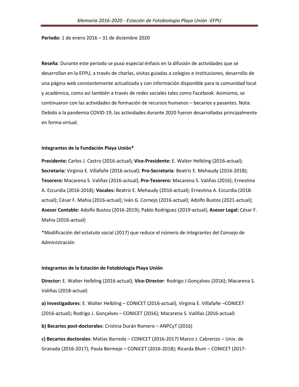**Periodo:** 1 de enero 2016 – 31 de diciembre 2020

**Reseña**: Durante este periodo se puso especial énfasis en la difusión de actividades que se desarrollan en la EFPU, a través de charlas, visitas guiadas a colegios e instituciones, desarrollo de una página web constantemente actualizada y con información disponible para la comunidad local y académica, como así también a través de redes sociales tales como Facebook. Asimismo, se continuaron con las actividades de formación de recursos humanos – becarios y pasantes. Nota: Debido a la pandemia COVID-19, las actividades durante 2020 fueron desarrolladas principalmente en forma virtual.

#### **Integrantes de la Fundación Playa Unión\***

**Presidente:** Carlos J. Castro (2016-actual); **Vice-Presidente:** E. Walter Helbling (2016-actual); **Secretaria:** Virginia E. Villafañe (2016-actual); **Pro-Secretaria**: Beatriz E. Mehaudy (2016-2018); **Tesorero:** Macarena S. Valiñas (2016-actual); **Pro-Tesorero:** Macarena S. Valiñas (2016); Ernestina A. Ezcurdia (2016-2018); **Vocales:** Beatriz E. Mehaudy (2016-actual); Ernestina A. Ezcurdia (2018 actual); César F. Mahia (2016-actual); Iván G. Cornejo (2016-actual); Adolfo Bustos (2021-actual); **Asesor Contable:** Adolfo Bustos (2016-2019); Pablo Rodríguez (2019-actual); **Asesor Legal:** César F. Mahia (2016-actual)

\*Modificación del estatuto social (2017) que reduce el número de integrantes del Consejo de Administración

#### **Integrantes de la Estación de Fotobiología Playa Unión**

**Director:** E. Walter Helbling (2016-actual); **Vice-Director**: Rodrigo J Gonçalves (2016); Macarena S. Valiñas (2018-actual)

**a) Investigadores**: E. Walter Helbling – CONICET (2016-actual), Virginia E. Villafañe –CONICET (2016-actual); Rodrigo J. Gonçalves – CONICET (2016); Macarena S. Valiñas (2016-actual)

**b) Becarios post-doctorales**: Cristina Durán Romero – ANPCyT (2016)

**c) Becarios doctorales**: Matías Barreda – CONICET (2016-2017) Marco J. Cabrerizo – Univ. de Granada (2016-2017); Paula Bermejo – CONICET (2016-2018); Ricarda Blum – CONICET (2017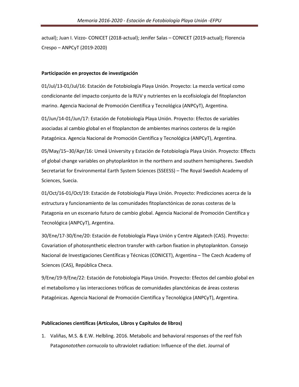actual); Juan I. Vizzo- CONICET (2018-actual); Jenifer Salas – CONICET (2019-actual); Florencia Crespo – ANPCyT (2019-2020)

#### **Participación en proyectos de investigación**

01/Jul/13-01/Jul/16: Estación de Fotobiología Playa Unión. Proyecto: La mezcla vertical como condicionante del impacto conjunto de la RUV y nutrientes en la ecofisiología del fitoplancton marino. Agencia Nacional de Promoción Científica y Tecnológica (ANPCyT), Argentina.

01/Jun/14-01/Jun/17: Estación de Fotobiología Playa Unión. Proyecto: Efectos de variables asociadas al cambio global en el fitoplancton de ambientes marinos costeros de la región Patagónica. Agencia Nacional de Promoción Científica y Tecnológica (ANPCyT), Argentina.

05/May/15–30/Apr/16: Umeå University y Estación de Fotobiología Playa Unión. Proyecto: Effects of global change variables on phytoplankton in the northern and southern hemispheres. Swedish Secretariat for Environmental Earth System Sciences (SSEESS) – The Royal Swedish Academy of Sciences, Suecia.

01/Oct/16-01/Oct/19: Estación de Fotobiología Playa Unión. Proyecto: Predicciones acerca de la estructura y funcionamiento de las comunidades fitoplanctónicas de zonas costeras de la Patagonia en un escenario futuro de cambio global. Agencia Nacional de Promoción Científica y Tecnológica (ANPCyT), Argentina.

30/Ene/17-30/Ene/20: Estación de Fotobiología Playa Unión y Centre Algatech (CAS). Proyecto: Covariation of photosynthetic electron transfer with carbon fixation in phytoplankton. Consejo Nacional de Investigaciones Científicas y Técnicas (CONICET), Argentina – The Czech Academy of Sciences (CAS), República Checa.

9/Ene/19-9/Ene/22: Estación de Fotobiología Playa Unión. Proyecto: Efectos del cambio global en el metabolismo y las interacciones tróficas de comunidades planctónicas de áreas costeras Patagónicas. Agencia Nacional de Promoción Científica y Tecnológica (ANPCyT), Argentina.

#### **Publicaciones científicas (Artículos, Libros y Capítulos de libros)**

1. Valiñas, M.S. & E.W. Helbling. 2016. Metabolic and behavioral responses of the reef fish Pata*gonotothen cornucola* to ultraviolet radiation: Influence of the diet. Journal of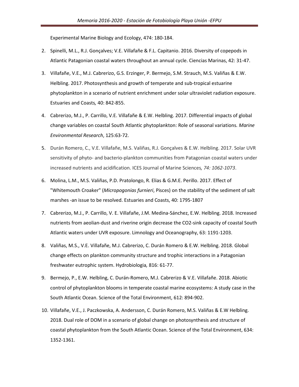Experimental Marine Biology and Ecology, 474: 180-184.

- 2. Spinelli, M.L., R.J. Gonçalves; V.E. Villafañe & F.L. Capitanio. 2016. Diversity of copepods in Atlantic Patagonian coastal waters throughout an annual cycle. Ciencias Marinas, 42: 31-47.
- 3. Villafañe, V.E., M.J. Cabrerizo, G.S. Erzinger, P. Bermejo, S.M. Strauch, M.S. Valiñas & E.W. Helbling. 2017. Photosynthesis and growth of temperate and sub-tropical estuarine phytoplankton in a scenario of nutrient enrichment under solar ultraviolet radiation exposure. Estuaries and Coasts*,* 40: 842-855.
- 4. Cabrerizo, M.J., P. Carrillo, V.E. Villafañe & E.W. Helbling. 2017. Differential impacts of global change variables on coastal South Atlantic phytoplankton: Role of seasonal variations*. Marine Environmental Research*, 125:63-72.
- 5. Durán Romero, C., V.E. Villafañe, M.S. Valiñas, R.J. Gonçalves & E.W. Helbling. 2017. Solar UVR sensitivity of phyto- and bacterio-plankton communities from Patagonian coastal waters under increased nutrients and acidification. ICES Journal of Marine Sciences*, 74: 1062-1073*.
- 6. Molina, L.M., M.S. Valiñas, P.D. Pratolongo, R. Elias & G.M.E. Perillo. 2017. Effect of "Whitemouth Croaker" (*Micropogonias furnieri*, Pisces) on the stability of the sediment of salt marshes -an issue to be resolved. Estuaries and Coasts, 40: 1795-1807
- 7. Cabrerizo, M.J., P. Carrillo, V. E. Villafañe, J.M. Medina-Sánchez, E.W. Helbling. 2018. Increased nutrients from aeolian-dust and riverine origin decrease the CO2-sink capacity of coastal South Atlantic waters under UVR exposure. Limnology and Oceanography, 63: 1191-1203.
- 8. Valiñas, M.S., V.E. Villafañe, M.J. Cabrerizo, C. Durán Romero & E.W. Helbling. 2018. Global change effects on plankton community structure and trophic interactions in a Patagonian freshwater eutrophic system. Hydrobiologia*,* 816: 61-77.
- 9. Bermejo, P., E.W. Helbling, C. Durán-Romero, M.J. Cabrerizo & V.E. Villafañe. 2018. Abiotic control of phytoplankton blooms in temperate coastal marine ecosystems: A study case in the South Atlantic Ocean. Science of the Total Environment, 612: 894-902.
- 10. Villafañe, V.E., J. Paczkowska, A. Andersson, C. Durán Romero, M.S. Valiñas & E.W Helbling. 2018. Dual role of DOM in a scenario of global change on photosynthesis and structure of coastal phytoplankton from the South Atlantic Ocean. Science of the Total Environment, 634: 1352-1361.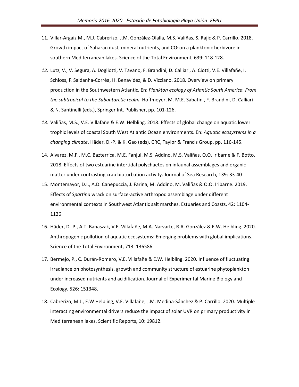- 11. Villar-Argaiz M., M.J. Cabrerizo, J.M. González-Olalla, M.S. Valiñas, S. Rajic & P. Carrillo. 2018. Growth impact of Saharan dust, mineral nutrients, and  $CO<sub>2</sub>$  on a planktonic herbivore in southern Mediterranean lakes. Science of the Total Environment, 639: 118-128.
- *12.* Lutz, V., V. Segura, A. Dogliotti, V. Tavano, F. Brandini, D. Calliari, A. Ciotti, V.E. Villafañe, I. Schloss, F. Saldanha-Corrêa, H. Benavidez, & D. Vizziano. 2018. Overview on primary production in the Southwestern Atlantic. En: *Plankton ecology of Atlantic South America. From the subtropical to the Subantarctic realm.* Hoffmeyer, M. M.E. Sabatini, F. Brandini, D. Calliari & N. Santinelli (eds.), Springer Int. Publisher, pp. 101-126.
- *13.* Valiñas, M.S., V.E. Villafañe & E.W. Helbling. 2018. Effects of global change on aquatic lower trophic levels of coastal South West Atlantic Ocean environments. En: *Aquatic ecosystems in a changing climate*. Häder, D.-P. & K. Gao (eds). CRC, Taylor & Francis Group, pp. 116-145.
- 14. Alvarez, M.F., M.C. Bazterrica, M.E. Fanjul, M.S. Addino, M.S. Valiñas, O.O, Iribarne & F. Botto. 2018. Effects of two estuarine intertidal polychaetes on infaunal assemblages and organic matter under contrasting crab bioturbation activity. Journal of Sea Research, 139: 33-40
- 15. Montemayor, D.I., A.D. Canepuccia, J. Farina, M. Addino, M. Valiñas & O.O. Iribarne. 2019. Effects of *Spartina* wrack on surface-active arthropod assemblage under different environmental contexts in Southwest Atlantic salt marshes. Estuaries and Coasts, 42: 1104- 1126
- 16. Häder, D.-P., A.T. Banaszak, V.E. Villafañe, M.A. Narvarte, R.A. González & E.W. Helbling. 2020. Anthropogenic pollution of aquatic ecosystems: Emerging problems with global implications. Science of the Total Environment, 713: 136586.
- 17. Bermejo, P., C. Durán-Romero, V.E. Villafañe & E.W. Helbling. 2020. Influence of fluctuating irradiance on photosynthesis, growth and community structure of estuarine phytoplankton under increased nutrients and acidification. Journal of Experimental Marine Biology and Ecology, 526: 151348.
- 18. Cabrerizo, M.J., E.W Helbling, V.E. Villafañe, J.M. Medina-Sánchez & P. Carrillo. 2020. Multiple interacting environmental drivers reduce the impact of solar UVR on primary productivity in Mediterranean lakes. Scientific Reports, 10: 19812.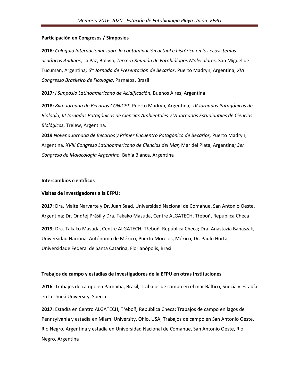#### **Participación en Congresos / Simposios**

**2016***: Coloquio Internacional sobre la contaminación actual e histórica en los ecosistemas acuáticos Andinos*, La Paz, Bolivia*; Tercera Reunión de Fotobiólogos Moleculares,* San Miguel de Tucuman, Argentina*; 6ta Jornada de Presentación de Becarios*, Puerto Madryn, Argentina; *XVI Congresso Brasileiro de Ficología*, Parnaíba, Brasil

**2017***: I Simposio Latinoamericano de Acidificación,* Buenos Aires, Argentina

**2018:** *8va. Jornada de Becarios CONICET*, Puerto Madryn, Argentina;. *IV Jornadas Patagónicas de Biología, III Jornadas Patagónicas de Ciencias Ambientales y VI Jornadas Estudiantiles de Ciencias Biológicas*, Trelew, Argentina.

**2019** *Novena Jornada de Becarios y Primer Encuentro Patagónico de Becarios,* Puerto Madryn, Argentina*; XVIII Congreso Latinoamericano de Ciencias del Mar,* Mar del Plata, Argentina*; 3er Congreso de Malacología Argentino,* Bahía Blanca, Argentina

#### **Intercambios científicos**

#### **Visitas de investigadores a la EFPU:**

**2017**: Dra. Maite Narvarte y Dr. Juan Saad, Universidad Nacional de Comahue, San Antonio Oeste, Argentina; Dr. Ondřej Prášil y Dra. Takako Masuda, Centre ALGATECH, Třeboň, República Checa

**2019**: Dra. Takako Masuda, Centre ALGATECH, Třeboň, República Checa; Dra. Anastazia Banaszak, Universidad Nacional Autónoma de México, Puerto Morelos, México; Dr. Paulo Horta, Universidade Federal de Santa Catarina, Florianópolis, Brasil

#### **Trabajos de campo y estadías de investigadores de la EFPU en otras Instituciones**

**2016**: Trabajos de campo en Parnaíba, Brasil; Trabajos de campo en el mar Báltico, Suecia y estadía en la Umeå University, Suecia

**2017**: Estadía en Centro ALGATECH, Třeboň**,** República Checa; Trabajos de campo en lagos de Pennsylvania y estadía en Miami University, Ohio, USA; Trabajos de campo en San Antonio Oeste, Río Negro, Argentina y estadía en Universidad Nacional de Comahue, San Antonio Oeste, Río Negro, Argentina